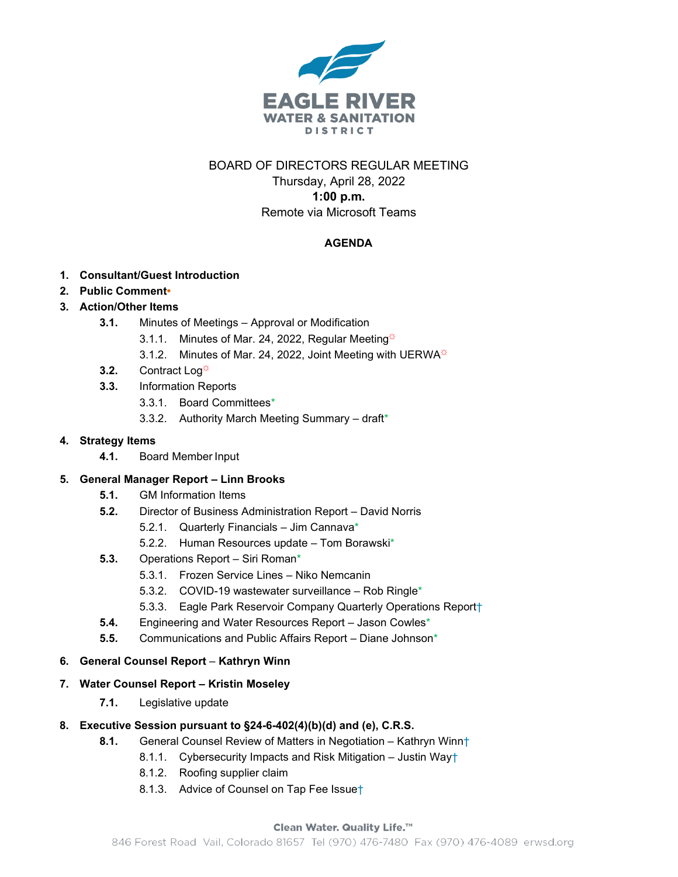

## BOARD OF DIRECTORS REGULAR MEETING Thursday, April 28, 2022

## **1:00 p.m.**

Remote via Microsoft Teams

# **AGENDA**

- **1. Consultant/Guest Introduction**
- **2. Public Comment•**
- **3. Action/Other Items**
	- **3.1.** Minutes of Meetings Approval or Modification
		- 3.1.1. Minutes of Mar. 24, 2022, Regular Meeting $\ddot{\varphi}$
		- 3.1.2. Minutes of Mar. 24, 2022, Joint Meeting with UERWA
	- **3.2.** Contract Log<sup>☆</sup>
	- **3.3.** Information Reports
		- 3.3.1. Board Committees\*
		- 3.3.2. Authority March Meeting Summary draft\*

## **4. Strategy Items**

**4.1.** Board Member Input

## **5. General Manager Report – Linn Brooks**

- **5.1.** GM Information Items
- **5.2.** Director of Business Administration Report David Norris
	- 5.2.1. Quarterly Financials Jim Cannava\*
	- 5.2.2. Human Resources update Tom Borawski\*
- **5.3.** Operations Report Siri Roman\*
	- 5.3.1. Frozen Service Lines Niko Nemcanin
	- 5.3.2. COVID-19 wastewater surveillance Rob Ringle\*
	- 5.3.3. Eagle Park Reservoir Company Quarterly Operations Report†
- **5.4.** Engineering and Water Resources Report Jason Cowles\*
- **5.5.** Communications and Public Affairs Report Diane Johnson\*

## **6. General Counsel Report** – **Kathryn Winn**

#### **7. Water Counsel Report – Kristin Moseley**

**7.1.** Legislative update

#### **8. Executive Session pursuant to §24-6-402(4)(b)(d) and (e), C.R.S.**

- **8.1.** General Counsel Review of Matters in Negotiation Kathryn Winn†
	- 8.1.1. Cybersecurity Impacts and Risk Mitigation Justin Way†
	- 8.1.2. Roofing supplier claim
	- 8.1.3. Advice of Counsel on Tap Fee Issue†

#### Clean Water. Quality Life.™